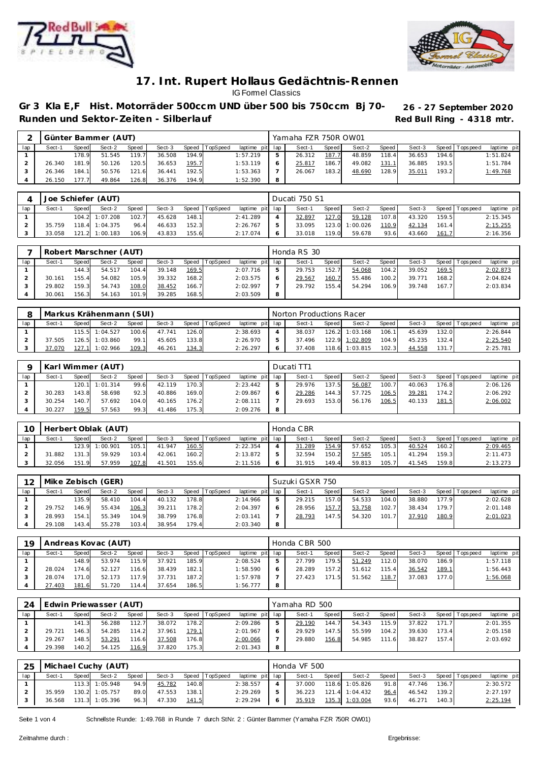



Gr 3 Kla E,F Hist. Motorräder 500ccm UND über 500 bis 750ccm Bj 70- 26 - 27 September 2020 Runden und Sektor-Zeiten - Silberlauf **Runden und Sektor-Zeiten - Silberlauf Red Bull Ring - 4318 mtr.** 

|     |        |       | Günter Bammer (AUT) |       |        |         |          |                 |   | Yamaha FZR 750R OW01 |       |        |       |        |        |                 |             |
|-----|--------|-------|---------------------|-------|--------|---------|----------|-----------------|---|----------------------|-------|--------|-------|--------|--------|-----------------|-------------|
| lap | Sect-1 | Speed | Sect-2              | Speed | Sect-3 | Speed I | TopSpeed | laptime pit lap |   | Sect-1               | Speed | Sect-2 | Speed | Sect-3 |        | Speed Tops peed | laptime pit |
|     |        | 178.9 | 51.545              | 119.7 | 36.508 | 194.9   |          | 1:57.219        |   | 26.312               | 187.  | 48.859 | 118.4 | 36.653 | 194.61 |                 | 1:51.824    |
|     | 26.340 | 181.9 | 50.126              | 120.5 | 36.653 | 195.7   |          | 1:53.119        |   | 25.817               | 186.7 | 49.082 | 131.1 | 36.885 | 193.5  |                 | 1:51.784    |
|     | 26.346 | 184.1 | 50.576              | 121.6 | 36.441 | 192.5   |          | 1:53.363        |   | 26.067               | 183.2 | 48.690 | 128.9 | 35.011 | 193.2  |                 | 1:49.768    |
|     | 26.150 | 777   | 49.864              | 126.8 | 36.376 | 194.9   |          | 1:52.390        | 8 |                      |       |        |       |        |        |                 |             |

|     |        |       | Joe Schiefer (AUT) |       |        |       |                |                 | Ducati 750 S1 |       |          |         |        |       |                 |             |
|-----|--------|-------|--------------------|-------|--------|-------|----------------|-----------------|---------------|-------|----------|---------|--------|-------|-----------------|-------------|
| lan | Sect-1 | Speed | Sect-2             | Speed | Sect-3 |       | Speed TopSpeed | laptime pit lap | Sect-1        | Speed | Sect-2   | Speed I | Sect-3 |       | Speed Tops peed | laptime pit |
|     |        |       | 104.2 1:07.208     | 102.7 | 45.628 | 148.1 |                | 2:41.289        | 32.897        | 127.0 | 59.128   | 107.8   | 43.320 | 159.5 |                 | 2:15.345    |
|     | 35.759 |       | 118.4 1:04.375     | 96.4  | 46.633 | 152.3 |                | 2:26.767        | 33.095        | 123.0 | 1:00.026 | 110.9   | 42.134 | 161.4 |                 | 2:15.255    |
|     | 33.058 |       | 121.2 1:00.183     | 106.9 | 43.833 | 155.6 |                | 2:17.074        | 33.018        | 119.0 | 59.678   | 93.6    | 43.660 | 161.7 |                 | 2:16.356    |

|     |        |       | Robert Marschner (AUT) |       |        |       |                |                 |   | Honda RS 30 |       |        |         |        |       |                   |             |
|-----|--------|-------|------------------------|-------|--------|-------|----------------|-----------------|---|-------------|-------|--------|---------|--------|-------|-------------------|-------------|
| lap | Sect-1 | Speed | Sect-2                 | Speed | Sect-3 |       | Speed TopSpeed | laptime pit lap |   | Sect-1      | Speed | Sect-2 | Speed I | Sect-3 |       | Speed   Tops peed | laptime pit |
|     |        | 144.3 | 54.517                 | 104.4 | 39.148 | 169.5 |                | 2:07.716        |   | 29.753      | 152.7 | 54.068 | 104.2   | 39.052 | 169.5 |                   | 2:02.873    |
|     | 30.161 | 155.4 | 54.082                 | 105.9 | 39.332 | 168.2 |                | 2:03.575        |   | 29.567      | 160.7 | 55.486 | 100.2   | 39.771 | 168.2 |                   | 2:04.824    |
|     | 29.802 | 159.3 | 54.743                 | 108.0 | 38.452 | 166.7 |                | 2:02.997        |   | 29.792      | 155.4 | 54.294 | 106.9   | 39.748 | 167.7 |                   | 2:03.834    |
|     | 30.061 | 156.3 | 54.163                 | 101.9 | 39.285 | 168.5 |                | 2:03.509        | 8 |             |       |        |         |        |       |                   |             |

|     |        |       | Markus Krähenmann (SUI) |       |        |         |          |                 | Norton Productions Racer |         |                |        |        |                    |                |             |
|-----|--------|-------|-------------------------|-------|--------|---------|----------|-----------------|--------------------------|---------|----------------|--------|--------|--------------------|----------------|-------------|
| lap | Sect-1 | Speed | Sect-2                  | Speed | Sect-3 | Speed I | TopSpeed | laptime pit lap | Sect-1                   | Speed I | Sect-2         | Speed  | Sect-3 |                    | Speed Topspeed | laptime pit |
|     |        |       | 115.5 1:04.527          | 100.6 | 47.741 | 126.0   |          | 2:38.693        | 38.037                   |         | 126.2 1:03.168 | 106.11 | 45.639 | 132.0              |                | 2:26.844    |
|     | 37.505 |       | 126.5 1:03.860          | 99.1  | 45.605 | 133.8   |          | 2:26.970        | 37.496                   |         | 122.9 1:02.809 | 104.9  | 45.235 | 132.4              |                | 2:25.540    |
|     | 37.070 | 127.  | .111:02.966             | 109.3 | 46.261 | 134.3   |          | 2:26.297        | 37.408                   |         | 118.6 1:03.815 | 102.3  | 44.558 | 131.7 <sub>1</sub> |                | 2:25.781    |

|     |        |       | Karl Wimmer (AUT) |       |        |         |                 |                 |   | Ducati TT1 |       |        |       |        |       |                 |             |
|-----|--------|-------|-------------------|-------|--------|---------|-----------------|-----------------|---|------------|-------|--------|-------|--------|-------|-----------------|-------------|
| lap | Sect-1 | Speed | Sect-2            | Speed | Sect-3 | Speed T | <b>TopSpeed</b> | laptime pit lap |   | Sect-1     | Speed | Sect-2 | Speed | Sect-3 |       | Speed Tops peed | laptime pit |
|     |        |       | 120.1  1:01.314   | 99.6  | 42.119 | 170.3   |                 | 2:23.442        |   | 29.976     | 137.5 | 56.087 | 100.7 | 40.063 | 176.8 |                 | 2:06.126    |
|     | 30.283 | 143.8 | 58.698            | 92.3  | 40.886 | 169.0   |                 | 2:09.867        |   | 29.286     | 144.3 | 57.725 | 106.5 | 39.281 | 174.2 |                 | 2:06.292    |
|     | 30.254 | 140.7 | 57.692            | 104.0 | 40.165 | 176.2   |                 | 2:08.111        |   | 29.693     | 153.0 | 56.176 | 106.5 | 40.133 | 181.5 |                 | 2:06.002    |
|     | 30.227 | 159.5 | 57.563            | 99.3  | 41.486 | 175.3   |                 | 2:09.276        | 8 |            |       |        |       |        |       |                 |             |

| 10  |        |       | Herbert Oblak (AUT) |       |        |       |          |                 | Honda CBR |       |        |       |        |       |                |             |
|-----|--------|-------|---------------------|-------|--------|-------|----------|-----------------|-----------|-------|--------|-------|--------|-------|----------------|-------------|
| lap | Sect-1 | Speed | Sect-2              | Speed | Sect-3 | Speed | TopSpeed | laptime pit lap | Sect-1    | Speed | Sect-2 | Speed | Sect-3 |       | Speed Topspeed | laptime pit |
|     |        |       | 123.9 1:00.901      | 105.1 | 41.947 | 160.5 |          | 2:22.354        | 31.289    | 154.9 | 57.652 | 105.3 | 40.524 | 160.2 |                | 2:09.465    |
|     | 31.882 | 131.3 | 59.929              | 103.4 | 42.061 | 160.2 |          | 2:13.872        | 32.594    | 150.2 | 57.585 | 105.1 | 41.294 | 159.3 |                | 2:11.473    |
|     | 32.056 | 151.9 | 57.959              | 107.8 | 41.501 | 155.6 |          | 2:11.516        | 31.915    | 149.4 | 59.813 | 105.7 | 41.545 | 159.8 |                | 2:13.273    |

| 12  |        |       | Mike Zebisch (GER) |       |        |       |          |                 |   | Suzuki GSXR 750 |              |        |       |        |       |                 |             |
|-----|--------|-------|--------------------|-------|--------|-------|----------|-----------------|---|-----------------|--------------|--------|-------|--------|-------|-----------------|-------------|
| lap | Sect-1 | Speed | Sect-2             | Speed | Sect-3 | Speed | TopSpeed | laptime pit lap |   | Sect-1          | <b>Speed</b> | Sect-2 | Speed | Sect-3 |       | Speed Tops peed | laptime pit |
|     |        | 135.9 | 58.410             | 104.4 | 40.132 | 178.8 |          | 2:14.966        |   | 29.215          | 157.0        | 54.533 | 104.0 | 38,880 | 177.9 |                 | 2:02.628    |
|     | 29.752 | 146.9 | 55.434             | 106.3 | 39.211 | 178.2 |          | 2:04.397        |   | 28.956          | 157.7        | 53.758 | 102.7 | 38.434 | 179.7 |                 | 2:01.148    |
|     | 28.993 | 154.1 | 55.349             | 104.9 | 38.799 | 176.8 |          | 2:03.141        |   | 28.793          | 147.5        | 54.320 | 101.7 | 37.910 | 180.9 |                 | 2:01.023    |
|     | 29.108 | 143.4 | 55.278             | 103.4 | 38.954 | 179.4 |          | 2:03.340        | 8 |                 |              |        |       |        |       |                 |             |

| 1 Q |        |       | Andreas Kovac (AUT) |       |        |       |          |                 | Honda CBR 500 |              |        |       |        |       |                   |             |
|-----|--------|-------|---------------------|-------|--------|-------|----------|-----------------|---------------|--------------|--------|-------|--------|-------|-------------------|-------------|
| lap | Sect-1 | Speed | Sect-2              | Speed | Sect-3 | Speed | TopSpeed | laptime pit lap | Sect-1        | <b>Speed</b> | Sect-2 | Speed | Sect-3 |       | Speed   Tops peed | laptime pit |
|     |        | 148.9 | 53.974              | 115.9 | 37.921 | 185.9 |          | 2:08.524        | 27.799        | 179.5        | 51.249 | 112.0 | 38.070 | 186.9 |                   | 1:57.118    |
|     | 28.024 | 174.6 | 52.127              | 116.6 | 38.439 | 182.1 |          | 1:58.590        | 28.289        | 157.2        | 51.612 | 115.4 | 36.542 | 189.1 |                   | 1:56.443    |
|     | 28.074 | 171 O | 52.173              | 117.9 | 37.731 | 187.2 |          | 1:57.978        | 27.423        | 171.51       | 51.562 | 118.7 | 37.083 | 177.0 |                   | 1:56.068    |
|     | 27.403 | 181.6 | 51.720              | 114.4 | 37.654 | 186.5 |          | 1:56.777        |               |              |        |       |        |       |                   |             |

| 24  |        |       | Edwin Priewasser (AUT) |       |        |       |                  |                 |   | Yamaha RD 500 |              |        |       |        |       |            |             |
|-----|--------|-------|------------------------|-------|--------|-------|------------------|-----------------|---|---------------|--------------|--------|-------|--------|-------|------------|-------------|
| lap | Sect-1 | Speed | Sect-2                 | Speed | Sect-3 |       | Speed   TopSpeed | laptime pit lap |   | Sect-1        | <b>Speed</b> | Sect-2 | Speed | Sect-3 | Speed | l Topspeed | laptime pit |
|     |        | 141.3 | 56.288                 | 112.7 | 38.072 | 178.2 |                  | 2:09.286        | ь | 29.190        | 144.7        | 54.343 | 115.9 | 37.822 | 171.7 |            | 2:01.355    |
|     | 29.721 | 146.3 | 54.285                 | 114.2 | 37.961 | 179.1 |                  | 2:01.967        | O | 29.929        | 147.5        | 55.599 | 104.2 | 39.630 | 173.4 |            | 2:05.158    |
|     | 29.267 | 148.5 | 53.291                 | 116.6 | 37.508 | 176.8 |                  | 2:00.066        |   | 29.880        | 156.8        | 54.985 | 111.6 | 38.827 | 157.4 |            | 2:03.692    |
|     | 29.398 | 140.2 | 54.125                 | 116.9 | 37.820 | 175.3 |                  | 2:01.343        | 8 |               |              |        |       |        |       |            |             |

|     | 25   Michael Cuchy (AUT) |       |                |       |        |       |                |                 |   | Honda VF 500 |       |                |       |        |       |                   |             |
|-----|--------------------------|-------|----------------|-------|--------|-------|----------------|-----------------|---|--------------|-------|----------------|-------|--------|-------|-------------------|-------------|
| lap | Sect-1                   | Speed | Sect-2         | Speed | Sect-3 |       | Speed TopSpeed | laptime pit lap |   | Sect-1       | Speed | Sect-2         | Speed | Sect-3 |       | Speed   Tops peed | laptime pit |
|     |                          |       | 113.3 1:05.948 | 94.9  | 45.782 | 140.8 |                | 2:38.557        |   | 37.000       |       | 118.6 1:05.826 | 91.8  | 47.746 | 136.7 |                   | 2:30.572    |
|     | 35.959                   |       | 130.2 1:05.757 | 89.0  | 47.553 | 138.1 |                | 2:29.269        |   | 36.223       |       | 121.4 1:04.432 | 96.4  | 46.542 | 139.2 |                   | 2:27.197    |
|     | 36.568                   |       | 131.3 1:05.396 | 96.3  | 47.330 | 141.5 |                | 2:29.294        | 6 | 35.919       |       | 135.3 1:03.004 | 93.6  | 46.271 | 140.3 |                   | 2:25.194    |

Seite 1 von 4 Schnellste Runde: 1:49.768 in Runde 7 durch StNr. 2 : Günter Bammer (Yamaha FZR 750R OW01)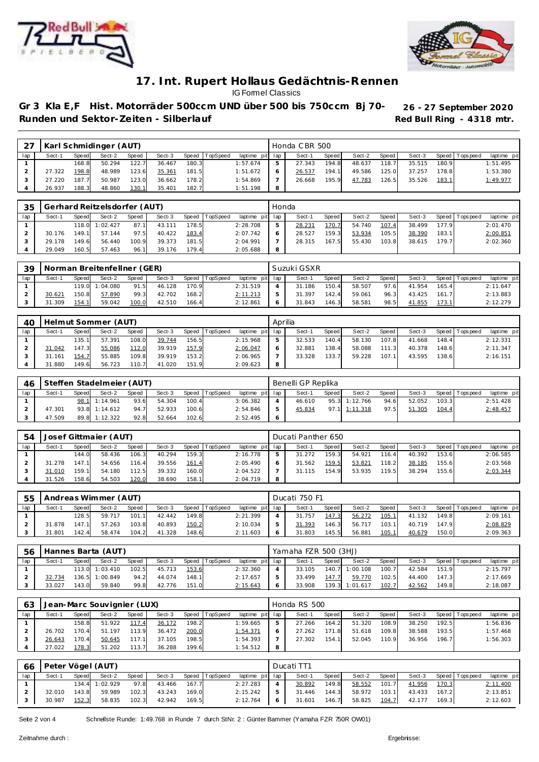



# Gr 3 Kla E,F Hist. Motorräder 500ccm UND über 500 bis 750ccm Bj 70- 26 - 27 September 2020 Runden und Sektor-Zeiten - Silberlauf **Runden und Sektor-Zeiten - Silberlauf Red Bull Ring - 4318 mtr.**

| $2-$ |        |       | Karl Schmidinger (AUT) |       |        |       |                |                 |   | Honda CBR 500 |       |        |        |        |       |                 |             |
|------|--------|-------|------------------------|-------|--------|-------|----------------|-----------------|---|---------------|-------|--------|--------|--------|-------|-----------------|-------------|
| lap  | Sect-1 | Speed | Sect-2                 | Speed | Sect-3 |       | Speed TopSpeed | laptime pit lap |   | Sect-1        | Speed | Sect-2 | Speed  | Sect-3 |       | Speed Tops peed | laptime pit |
|      |        | 168.8 | 50.294                 | 122.7 | 36.467 | 180.3 |                | 1:57.674        |   | 27.343        | 194.8 | 48.637 | 118.7  | 35.515 | 180.9 |                 | 1:51.495    |
|      | 27.322 | 198.8 | 48.989                 | 123.6 | 35.361 | 181.5 |                | 1:51.672        |   | 26.537        | 194.1 | 49.586 | 125.0  | 37.257 | 178.8 |                 | 1:53.380    |
|      | 27.220 | 187.7 | 50.987                 | 123.0 | 36.662 | 178.2 |                | 1:54.869        |   | 26.668        | 195.9 | 47.783 | 126.51 | 35.526 | 183.1 |                 | 1:49.977    |
|      | 26.937 | 188.3 | 48.860                 | 130.1 | 35.401 | 182.7 |                | 1:51.198        | 8 |               |       |        |        |        |       |                 |             |

| 35  |        |       | Gerhard Reitzelsdorfer (AUT) |       |        |       |                |                 | Honda |        |       |        |       |        |       |                   |             |
|-----|--------|-------|------------------------------|-------|--------|-------|----------------|-----------------|-------|--------|-------|--------|-------|--------|-------|-------------------|-------------|
| lap | Sect-1 | Speed | Sect-2                       | Speed | Sect-3 |       | Speed TopSpeed | laptime pit lap |       | Sect-1 | Speed | Sect-2 | Speed | Sect-3 |       | Speed   Tops peed | laptime pit |
|     |        |       | 118.0   1:02.427             | 87.1  | 43.111 | 178.5 |                | 2:28.708        |       | 28.231 | 170.7 | 54.740 | 107.4 | 38.499 | 177.9 |                   | 2:01.470    |
|     | 30.176 | 149.1 | 57.144                       | 97.5  | 40.422 | 183.4 |                | 2:07.742        |       | 28.527 | 159.3 | 53.934 | 105.5 | 38.390 | 183.1 |                   | 2:00.851    |
|     | 29.178 | 149.6 | 56.440                       | 100.9 | 39.373 | 181.5 |                | 2:04.991        |       | 28.315 | 167.5 | 55.430 | 103.8 | 38.615 | 179.7 |                   | 2:02.360    |
|     | 29.049 | 160.5 | 57.463                       | 96.1  | 39.176 | 179.4 |                | 2:05.688        | 8     |        |       |        |       |        |       |                   |             |

| 39  |        |       | Norman Breitenfellner (GER) |       |        |       |                |                 |   | Suzuki GSXR |       |        |       |        |       |                |             |
|-----|--------|-------|-----------------------------|-------|--------|-------|----------------|-----------------|---|-------------|-------|--------|-------|--------|-------|----------------|-------------|
| lap | Sect-1 | Speed | Sect-2                      | Speed | Sect-3 |       | Speed TopSpeed | laptime pit lap |   | Sect-1      | Speed | Sect-2 | Speed | Sect-3 |       | Speed Topspeed | laptime pit |
|     |        |       | 119.0 1:04.080              | 91.5  | 46.128 | 170.9 |                | 2:31.519        |   | 31.186      | 150.4 | 58.507 | 97.6  | 41.954 | 165.4 |                | 2:11.647    |
|     | 30.621 | 150.8 | 57.890                      | 99.3  | 42.702 | 168.2 |                | 2:11.213        | 5 | 31.397      | 142.4 | 59.061 | 96.3  | 43.425 | 161.7 |                | 2:13.883    |
|     | .309   | 154.1 | 59.042                      | 100.0 | 42.510 | 166.4 |                | 2:12.861        |   | 31.843      | 146.3 | 58.581 | 98.5  | 41.855 | 173.1 |                | 2:12.279    |

| 40  |        |        | Helmut Sommer (AUT) |       |        |       |                |             | Aprilia |        |        |        |       |        |        |                |             |
|-----|--------|--------|---------------------|-------|--------|-------|----------------|-------------|---------|--------|--------|--------|-------|--------|--------|----------------|-------------|
| lap | Sect-1 | Speedl | Sect-2              | Speed | Sect-3 |       | Speed TopSpeed | laptime pit | lap     | Sect-  | Speed  | Sect-2 | Speed | Sect-3 |        | Speed Topspeed | laptime pit |
|     |        | 135.1  | 57.391              | 108.0 | 39.744 | 156.5 |                | 2:15.968    | ь       | 32.533 | 140.4  | 58.130 | 107.8 | 41.668 | 148.41 |                | 2:12.331    |
|     | 31.042 | 147.3  | 55.086              | 112.0 | 39.919 | 157.9 |                | 2:06.047    | O       | 32.881 | 138.4  | 58.088 | 111.3 | 40.378 | 148.6  |                | 2:11.347    |
|     | 31.161 | 154.7  | 55.885              | 109.8 | 39.919 | 153.2 |                | 2:06.965    |         | 33.328 | 133.7. | 59.228 | 107.1 | 43.595 | 138.61 |                | 2:16.151    |
|     | 31.880 | 149.6  | 56.723              | 110.7 | 41.020 | 151.9 |                | 2:09.623    | 8       |        |        |        |       |        |        |                |             |

| 46  |        |       | Steffen Stadelmeier (AUT) |       |        |       |                |                 | Benelli GP Replika |       |               |       |        |       |                   |             |
|-----|--------|-------|---------------------------|-------|--------|-------|----------------|-----------------|--------------------|-------|---------------|-------|--------|-------|-------------------|-------------|
| lap | Sect-1 | Speed | Sect-2                    | Speed | Sect-3 |       | Speed TopSpeed | laptime pit lap | Sect-1             | Speed | Sect-2        | Speed | Sect-3 |       | Speed   Tops peed | laptime pit |
|     |        |       | 98.1 1:14.961             | 93.6  | 54.304 | 100.4 |                | 3:06.382        | 46.610             |       | 95.3 1:12.766 | 94.6  | 52.052 | 103.3 |                   | 2:51.428    |
|     | 47.301 |       | $93.8$ 1:14.612           | 94.7  | 52.933 | 100.6 |                | 2:54.846        | 45.834             |       | 97.1 1:11.318 | 97.5  | 51.305 | 104.4 |                   | 2:48.457    |
|     | 47.509 |       | 89.8 1:12.322             | 92.8  | 52.664 | 102.6 |                | 2:52.495        |                    |       |               |       |        |       |                   |             |

| .54 |        |       | Josef Gittmaier (AUT) |       |        |       |                |                 |   | Ducati Panther 650 |       |        |        |        |        |                 |             |
|-----|--------|-------|-----------------------|-------|--------|-------|----------------|-----------------|---|--------------------|-------|--------|--------|--------|--------|-----------------|-------------|
| lap | Sect-1 | Speed | Sect-2                | Speed | Sect-3 |       | Speed TopSpeed | laptime pit lap |   | Sect-1             | Speed | Sect-2 | Speed  | Sect-3 |        | Speed Tops peed | laptime pit |
|     |        | 144.0 | 58.436                | 106.3 | 40.294 | 159.3 |                | 2:16.778        | 5 | 31.272             | 159.3 | 54.921 | 116.41 | 40.392 | 153.61 |                 | 2:06.585    |
|     | 31.278 | 147.1 | 54.656                | 116.4 | 39.556 | 161.4 |                | 2:05.490        | 6 | 31.562             | 159.5 | 53.821 | 118.2  | 38.185 | 155.6  |                 | 2:03.568    |
|     | .010   | 159.1 | 54.180                | 112.5 | 39.332 | 160.0 |                | 2:04.522        |   | 31.115             | 154.9 | 53.935 | 119.5  | 38.294 | 155.6  |                 | 2:03.344    |
|     | 31.526 | 158.6 | 54.503                | 120.0 | 38.690 | 158.1 |                | 2:04.719        | 8 |                    |       |        |        |        |        |                 |             |

| 55  |        |       | Andreas Wimmer (AUT) |              |        |       |          |                 | Ducati 750 F1 |              |        |       |        |       |                   |             |
|-----|--------|-------|----------------------|--------------|--------|-------|----------|-----------------|---------------|--------------|--------|-------|--------|-------|-------------------|-------------|
| lap | Sect-1 | Speed | Sect-2               | <b>Speed</b> | Sect-3 | Speed | TopSpeed | laptime pit lap | Sect-1        | <b>Speed</b> | Sect-2 | Speed | Sect-3 |       | Speed   Tops peed | laptime pit |
|     |        | 128.5 | 59.717               | 101.1        | 42.442 | 149.8 |          | 2:21.399        | 31.757        | 147.3        | 56.272 | 105.1 | 41.132 | 149.8 |                   | 2:09.161    |
|     | 31.878 | 147.1 | 57.263               | 103.8        | 40.893 | 150.2 |          | 2:10.034        | 31.393        | 146.3        | 56.717 | 103.1 | 40.719 | 147.9 |                   | 2:08.829    |
|     | 31.801 | 142.4 | 58.474               | 104.2        | 41.328 | 148.6 |          | 2:11.603        | 31.803        | 145.5        | 56.881 | 105.1 | 40.679 | 150.0 |                   | 2:09.363    |

| 56  |        |       | Hannes Barta (AUT) |       |        |       |                |                 | Yamaha FZR 500 (3HJ) |       |                |       |        |       |                   |             |
|-----|--------|-------|--------------------|-------|--------|-------|----------------|-----------------|----------------------|-------|----------------|-------|--------|-------|-------------------|-------------|
| lap | Sect-1 | Speed | Sect-2             | Speed | Sect-3 |       | Speed TopSpeed | laptime pit lap | Sect-1               | Speed | Sect-2         | Speed | Sect-3 |       | Speed   Tops peed | laptime pit |
|     |        |       | 113.0 1:03.410     | 102.5 | 45.713 | 153.6 |                | 2:32.360        | 33.105               |       | 140.7 1:00.108 | 100.7 | 42.584 | 151.9 |                   | 2:15.797    |
|     | 32.734 |       | 136.5 1:00.849     | 94.2  | 44.074 | 148.1 |                | 2:17.657        | 33.499               | 147.7 | 59.770         | 102.5 | 44.400 | 147.3 |                   | 2:17.669    |
|     | 33.027 | 143.0 | 59.840             | 99.8  | 42.776 | 151.0 |                | 2:15.643        | 33.908               |       | 139.3 1:01.617 | 102.7 | 42.562 | 149.8 |                   | 2:18.087    |

| 63  |        |       | Jean-Marc Souvignier (LUX) |       |        |       |          |                 | Honda RS 500 |         |        |       |        |       |                |             |
|-----|--------|-------|----------------------------|-------|--------|-------|----------|-----------------|--------------|---------|--------|-------|--------|-------|----------------|-------------|
| lap | Sect-1 | Speed | Sect-2                     | Speed | Sect-3 | Speed | TopSpeed | laptime pit lap | Sect-1       | Speed I | Sect-2 | Speed | Sect-3 |       | Speed Topspeed | laptime pit |
|     |        | 158.8 | 51.922                     | 117.4 | 36.172 | 198.2 |          | 1:59.665        | 27.266       | 164.2   | 51.320 | 108.9 | 38.250 | 192.5 |                | 1:56.836    |
|     | 26.702 | 170.4 | 51.197                     | 113.9 | 36.472 | 200.0 |          | <u>1:54.371</u> | 27.262       | 171.8   | 51.618 | 109.8 | 38.588 | 193.5 |                | 1:57.468    |
|     | 26.643 | 170.4 | 50.645                     | 117.1 | 37.105 | 198.5 |          | 1:54.393        | 27.302       | 154.1   | 52.045 | 110.9 | 36.956 | 196.7 |                | 1:56.303    |
|     | 27.022 | 178.3 | 51.202                     | 113.7 | 36.288 | 199.6 |          | 1:54.512        |              |         |        |       |        |       |                |             |

| 66  |        |       | Peter Vögel (AUT) |       |        |       |                |                 |   | Ducati TT1 |       |              |       |        |       |                 |             |
|-----|--------|-------|-------------------|-------|--------|-------|----------------|-----------------|---|------------|-------|--------------|-------|--------|-------|-----------------|-------------|
| lap | Sect-1 | Speed | Sect-2            | Speed | Sect-3 |       | Speed TopSpeed | laptime pit lap |   | Sect-1     | Speed | Sect-2 Speed |       | Sect-3 |       | Speed Tops peed | laptime pit |
|     |        |       | 134.4 1:02.929    | 97.8  | 43.466 | 167.7 |                | 2:27.283        |   | 30.892     | 149.8 | 58.552       | 101.7 | 41.956 | 170.3 |                 | 2:11.400    |
|     | 32.010 | 143.8 | 59.989            | 102.3 | 43.243 | 169.0 |                | 2:15.242        |   | 31.446     | 144.3 | 58.972       | 103.1 | 43.433 | 167.2 |                 | 2:13.851    |
|     | 30.987 | 152.3 | 58.835            | 102.3 | 42.942 | 169.5 |                | 2:12.764        | 6 | 31.601     | 146.7 | 58.825       | 104.7 | 42.177 | 169.3 |                 | 2:12.603    |

Seite 2 von 4 Schnellste Runde: 1:49.768 in Runde 7 durch StNr. 2 : Günter Bammer (Yamaha FZR 750R OW01)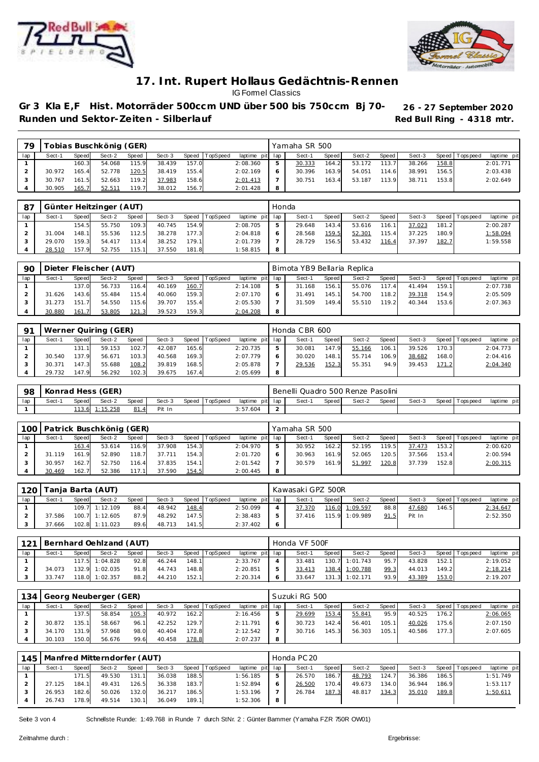



Gr 3 Kla E,F Hist. Motorräder 500ccm UND über 500 bis 750ccm Bj 70- 26 - 27 September 2020 Runden und Sektor-Zeiten - Silberlauf **Runden und Sektor-Zeiten - Silberlauf Red Bull Ring - 4318 mtr.** 

| 70  |        |       | Tobias Buschkönig (GER). |       |        |       |                |                 | Yamaha SR 500 |       |        |       |        |       |                |             |
|-----|--------|-------|--------------------------|-------|--------|-------|----------------|-----------------|---------------|-------|--------|-------|--------|-------|----------------|-------------|
| lap | Sect-1 | Speed | Sect-2                   | Speed | Sect-3 |       | Speed TopSpeed | laptime pit lap | Sect-1        | Speed | Sect-2 | Speed | Sect-3 |       | Speed Topspeed | laptime pit |
|     |        | 160.3 | 54.068                   | 115.9 | 38.439 | 157.0 |                | 2:08.360        | 30.333        | 164.2 | 53.172 | 113.7 | 38.266 | 158.8 |                | 2:01.771    |
|     | 30.972 | 165.4 | 52.778                   | 120.5 | 38.419 | 155.4 |                | 2:02.169        | 30.396        | 163.9 | 54.051 | 114.6 | 38.991 | 156.5 |                | 2:03.438    |
|     | 30.767 | 161.5 | 52.663                   | 119.2 | 37.983 | 158.6 |                | 2:01.413        | 30.751        | 163.4 | 53.187 | 113.9 | 38.711 | 153.8 |                | 2:02.649    |
|     | 30.905 | 165.7 | 52.511                   | 119.7 | 38.012 | 156.7 |                | 2:01.428        |               |       |        |       |        |       |                |             |

| 87  |        |       | Günter Heitzinger (AUT) |       |        |       |                |                 | Honda        |        |         |        |         |        |       |                 |             |
|-----|--------|-------|-------------------------|-------|--------|-------|----------------|-----------------|--------------|--------|---------|--------|---------|--------|-------|-----------------|-------------|
| lap | Sect-1 | Speed | Sect-2                  | Speed | Sect-3 |       | Speed TopSpeed | laptime pit lap |              | Sect-1 | Speed I | Sect-2 | Speed I | Sect-3 |       | Speed Tops peed | laptime pit |
|     |        | 154.5 | 55.750                  | 109.3 | 40.745 | 154.9 |                | 2:08.705        | ь            | 29.648 | 143.4   | 53.616 | 116.1   | 37.023 | 181.2 |                 | 2:00.287    |
|     | 31.004 | 148.1 | 55.536                  | 112.5 | 38.278 | 177.3 |                | 2:04.818        | <sub>o</sub> | 28.568 | 159.5   | 52.301 | 115.4   | 37.225 | 180.9 |                 | 1:58.094    |
|     | 29.070 | 159.3 | 54.417                  | 113.4 | 38.252 | 179.1 |                | 2:01.739        |              | 28.729 | 156.5   | 53.432 | 116.4   | 37.397 | 182.7 |                 | 1:59.558    |
|     | 28.510 | 157.9 | 52.755                  | 115.1 | 37.550 | 181.8 |                | 1:58.815        | 8            |        |         |        |         |        |       |                 |             |

| 90  |        |       | Dieter Fleischer (AUT) |       |        |       |                |                 | Bimota YB9 Bellaria Replica |       |        |       |        |       |                 |             |
|-----|--------|-------|------------------------|-------|--------|-------|----------------|-----------------|-----------------------------|-------|--------|-------|--------|-------|-----------------|-------------|
| lap | Sect-1 | Speed | Sect-2                 | Speed | Sect-3 |       | Speed TopSpeed | laptime pit lap | Sect-1                      | Speed | Sect-2 | Speed | Sect-3 |       | Speed Tops peed | laptime pit |
|     |        | 137.0 | 56.733                 | 116.4 | 40.169 | 160.7 |                | 2:14.108        | 31.168                      | 156.1 | 55.076 | 117.4 | 41.494 | 159.1 |                 | 2:07.738    |
|     | 31.626 | 143.6 | 55.484                 | 115.4 | 40.060 | 159.3 |                | 2:07.170        | 31.491                      | 145.1 | 54.700 | 118.2 | 39.318 | 154.9 |                 | 2:05.509    |
|     | 31.273 | 151.7 | 54.550                 | 115.6 | 39.707 | 155.4 |                | 2:05.530        | 31.509                      | 149.4 | 55.510 | 119.2 | 40.344 | 153.6 |                 | 2:07.363    |
|     | 30.880 | 161.7 | 53.805                 | 121.3 | 39.523 | 159.3 |                | 2:04.208        |                             |       |        |       |        |       |                 |             |

| $\Omega$ 1 |        |       | Werner Quiring (GER) |              |        |       |                  |             |     | Honda CBR 600 |       |        |       |        |       |                 |             |
|------------|--------|-------|----------------------|--------------|--------|-------|------------------|-------------|-----|---------------|-------|--------|-------|--------|-------|-----------------|-------------|
| lap        | Sect-1 | Speed | Sect-2               | <b>Speed</b> | Sect-3 |       | Speed   TopSpeed | laptime pit | lap | Sect-1        | Speed | Sect-2 | Speed | Sect-3 |       | Speed Tops peed | laptime pit |
|            |        | 131.1 | 59.153               | 102.7        | 42.087 | 165.6 |                  | 2:20.735    | b.  | 30.081        | 147.9 | 55.166 | 106.1 | 39.526 | 170.3 |                 | 2:04.773    |
|            | 30.540 | 137.9 | 56.671               | 103.3        | 40.568 | 169.3 |                  | 2:07.779    | O   | 30.020        | 148.1 | 55.714 | 106.9 | 38.682 | 168.0 |                 | 2:04.416    |
|            | 30.371 | 147.3 | 55.688               | 108.2        | 39.819 | 168.5 |                  | 2:05.878    |     | 29.536        | 152.3 | 55.351 | 94.9  | 39.453 | 171.2 |                 | 2:04.340    |
|            | 29.732 | 147.9 | 56.292               | 102.3        | 39.675 | 167.4 |                  | 2:05.699    | 8   |               |       |        |       |        |       |                 |             |

| -98 | Konrad Hess (GER) |       |          |         |        |  |                |                 | Benelli Quadro 500 Renze Pasolini |       |       |        |       |        |  |                   |             |  |
|-----|-------------------|-------|----------|---------|--------|--|----------------|-----------------|-----------------------------------|-------|-------|--------|-------|--------|--|-------------------|-------------|--|
| lap | Sect-             | Speed | Sect-2   | Speed   | Sect-3 |  | Speed TopSpeed | laptime pit lap |                                   | Sect- | Speed | Sect-2 | Speed | Sect-3 |  | Speed   Tops peed | laptime pit |  |
|     |                   | 113.6 | 1:15.258 | 81<br>4 | Pit In |  |                | 3:57.604        |                                   |       |       |        |       |        |  |                   |             |  |

| 100 |        | Patrick Buschkönig (GER) |        |       |        | Yamaha SR 500 |                |                 |   |        |       |        |         |        |       |                 |             |
|-----|--------|--------------------------|--------|-------|--------|---------------|----------------|-----------------|---|--------|-------|--------|---------|--------|-------|-----------------|-------------|
| lap | Sect-1 | Speed                    | Sect-2 | Speed | Sect-3 |               | Speed TopSpeed | laptime pit lap |   | Sect-1 | Speed | Sect-2 | Speed I | Sect-3 |       | Speed Tops peed | laptime pit |
|     |        | 163.4                    | 53.614 | 116.9 | 37.908 | 154.3         |                | 2:04.970        |   | 30.952 | 162.2 | 52.195 | 119.5   | 37.473 | 153.2 |                 | 2:00.620    |
|     | 31.119 | 161.9                    | 52.890 | 118.7 | 37.711 | 154.3         |                | 2:01.720        |   | 30.963 | 161.9 | 52.065 | 120.5   | 37.566 | 153.4 |                 | 2:00.594    |
|     | 30.957 | 162.7                    | 52.750 | 116.4 | 37.835 | 154.1         |                | 2:01.542        |   | 30.579 | 161.9 | 51.997 | 120.8   | 37.739 | 152.8 |                 | 2:00.315    |
|     | 30.469 | 162.7                    | 52.386 | 117.1 | 37.590 | 154.5         |                | 2:00.445        | 8 |        |       |        |         |        |       |                 |             |

|     | 120   Tanja Barta (AUT) |       |                |       | Kawasaki GPZ 500R |       |                |                 |   |        |       |                |       |        |       |                   |             |
|-----|-------------------------|-------|----------------|-------|-------------------|-------|----------------|-----------------|---|--------|-------|----------------|-------|--------|-------|-------------------|-------------|
| lap | Sect-1                  | Speed | Sect-2         | Speed | Sect-3            |       | Speed TopSpeed | laptime pit lap |   | Sect-1 | Speed | Sect-2         | Speed | Sect-3 |       | Speed   Tops peed | laptime pit |
|     |                         |       | 109.7 1:12.109 | 88.4  | 48.942            | 148.4 |                | 2:50.099        |   | 37.370 |       | 116.0 1:09.597 | 88.8  | 47.680 | 146.5 |                   | 2:34.647    |
|     | 37.586                  |       | 100.7 1:12.605 | 87.9  | 48.292            | 147.5 |                | 2:38.483        | 5 | 37.416 |       | 115.9 1:09.989 | 91.5  | Pit In |       |                   | 2:52.350    |
|     | 37.666                  |       | 102.8 1:11.023 | 89.6  | 48.713            | 141.5 |                | 2:37.402        | O |        |       |                |       |        |       |                   |             |

| 121 | Bernhard Oehlzand (AUT) |       |                |       |        |       |                |                 |  | Honda VF 500F |       |                |       |        |       |                |             |  |  |  |
|-----|-------------------------|-------|----------------|-------|--------|-------|----------------|-----------------|--|---------------|-------|----------------|-------|--------|-------|----------------|-------------|--|--|--|
| lap | Sect-1                  | Speed | Sect-2         | Speed | Sect-3 |       | Speed TopSpeed | laptime pit lap |  | Sect-1        | Speed | Sect-2         | Speed | Sect-3 |       | Speed Topspeed | laptime pit |  |  |  |
|     |                         |       | 117.5 1:04.828 | 92.8  | 46.244 | 148.1 |                | 2:33.767        |  | 33.481        |       | 130.7 1:01.743 | 95.7  | 43.828 | 152.1 |                | 2:19.052    |  |  |  |
|     | 34.073                  | 132.9 | 1:02.035       | 91.8  | 44.743 | 148.8 |                | 2:20.851        |  | 33.413        |       | 138.4 1:00.788 | 99.3  | 44.013 | 149.2 |                | 2:18.214    |  |  |  |
|     | 33.747                  |       | 118.0 1:02.357 | 88.2  | 44.210 | 152.1 |                | 2:20.314        |  | 33.647        |       | 131.3 1:02.171 | 93.9  | 43.389 | 153.0 |                | 2:19.207    |  |  |  |

| 134 |              |       | Georg Neuberger (GER) |       |        |       |          |                 | Suzuki RG 500 |        |       |        |       |        |       |                 |             |  |  |
|-----|--------------|-------|-----------------------|-------|--------|-------|----------|-----------------|---------------|--------|-------|--------|-------|--------|-------|-----------------|-------------|--|--|
| lap | Sect-1       | Speed | Sect-2                | Speed | Sect-3 | Speed | TopSpeed | laptime pit lap |               | Sect-1 | Speed | Sect-2 | Speed | Sect-3 |       | Speed Tops peed | laptime pit |  |  |
|     |              | 137.5 | 58.854                | 105.3 | 40.972 | 162.2 |          | 2:16.456        | ь             | 29.699 | 153.4 | 55.841 | 95.9  | 40.525 | 176.2 |                 | 2:06.065    |  |  |
|     | 30.872       | 135.1 | 58.667                | 96.1  | 42.252 | 129.7 |          | 2:11.791        | 6             | 30.723 | 142.4 | 56.401 | 105.1 | 40.026 | 175.6 |                 | 2:07.150    |  |  |
|     | .170<br>.34. | 131.9 | 57.968                | 98.0  | 40.404 | 172.8 |          | 2:12.542        |               | 30.716 | 145.3 | 56.303 | 105.1 | 40.586 | 177.3 |                 | 2:07.605    |  |  |
|     | 30.103       | 150.0 | 56.676                | 99.6  | 40.458 | 178.8 |          | 2:07.237        | 8             |        |       |        |       |        |       |                 |             |  |  |

| 1451 |        |       | Manfred Mitterndorfer (AUT) |       |        |       |                |                 | Honda PC 20 |        |       |        |       |        |       |                 |             |  |  |
|------|--------|-------|-----------------------------|-------|--------|-------|----------------|-----------------|-------------|--------|-------|--------|-------|--------|-------|-----------------|-------------|--|--|
| lap  | Sect-1 | Speed | Sect-2                      | Speed | Sect-3 |       | Speed TopSpeed | laptime pit lap |             | Sect-1 | Speed | Sect-2 | Speed | Sect-3 |       | Speed Tops peed | laptime pit |  |  |
|      |        | 171.5 | 49.530                      | 131.1 | 36.038 | 188.5 |                | 1:56.185        | 5           | 26.570 | 186.7 | 48.793 | 124.7 | 36.386 | 186.5 |                 | 1:51.749    |  |  |
|      | 27.125 | 184.1 | 49.431                      | 126.5 | 36.338 | 183.7 |                | 1:52.894        | 6           | 26.500 | 170.4 | 49.673 | 134.0 | 36.944 | 186.9 |                 | 1:53.117    |  |  |
|      | 26.953 | 182.6 | 50.026                      | 132.0 | 36.217 | 186.5 |                | 1:53.196        |             | 26.784 | 187.3 | 48.817 | 134.3 | 35.010 | 189.8 |                 | 1:50.611    |  |  |
|      | 26.743 | 178.9 | 49.514                      | 130.1 | 36.049 | 189.1 |                | 1:52.306        | 8           |        |       |        |       |        |       |                 |             |  |  |